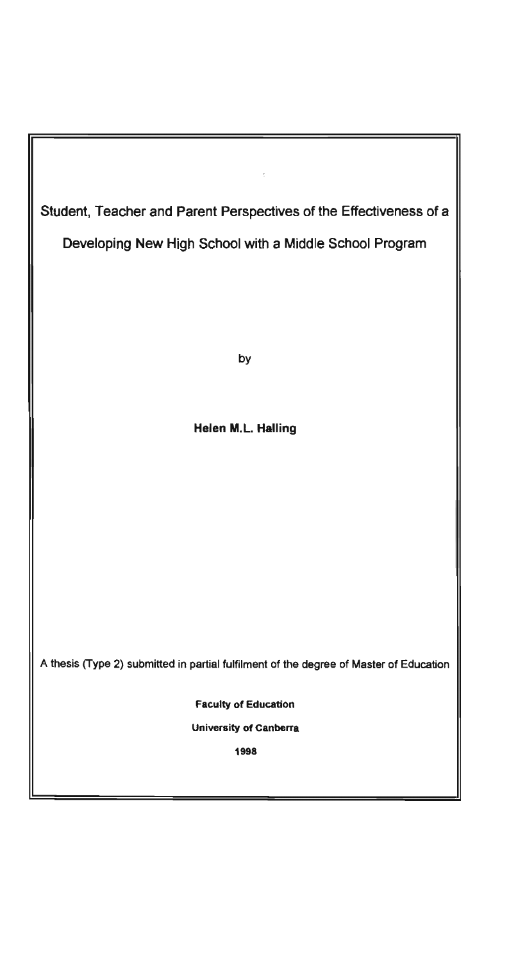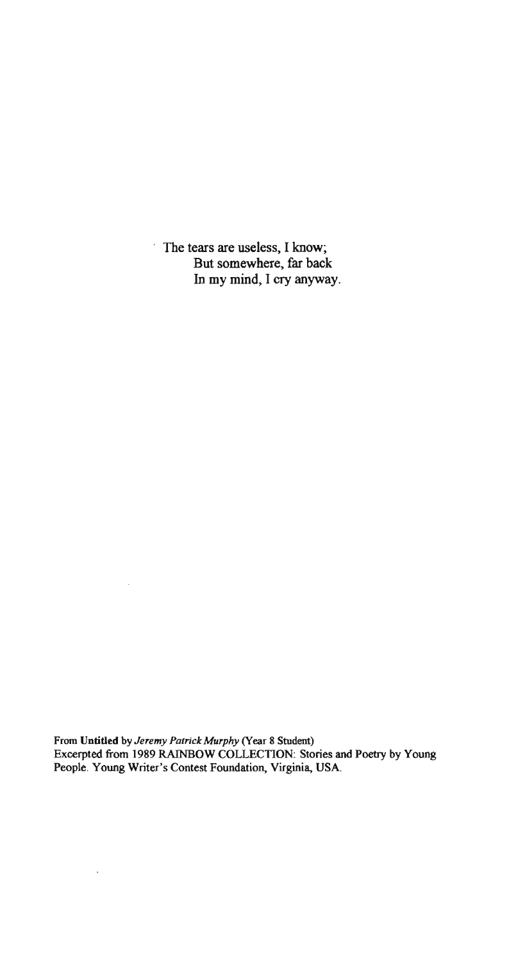The tears are useless, I know; But somewhere, far back In my mind, I cry anyway.

From Untitled by *Jeremy Patrick Murphy* (Year 8 Student) Excerpted from 1989 RAINBOW COLLECTION: Stories and Poetry by Young People. Young Writer's Contest Foundation, Virginia, USA.

 $\bar{.}$ 

 $\ddot{\phantom{a}}$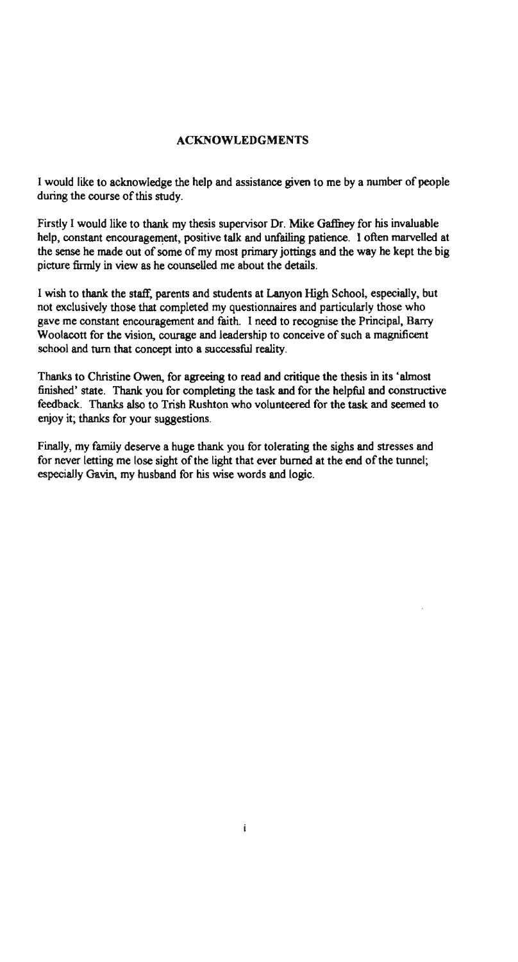### ACKNOWLEDGMENTS

I would like to acknowledge the help and assistance given to me by a number of people during the course of this study.

Firstly I would like to thank my thesis supervisor Dr. Mike Gaffney for his invaluable help, constant encouragement, positive talk and unfailing patience. I often marvelled at the sense he made out of some of my most primary jottings and the way he kept the big picture fumly in view as he counselled me about the details.

I wish to thank the staff, parents and students at Lanyon High School, especially, but not exclusively those that completed my questionnaires and particularly those who gave me constant encouragement and faith. I need to recognise the Principal, Barry Woolacott for the vision, courage and leadership to conceive of such a magnificent school and turn that concept into a successful reality.

Thanks to Christine Owen, for agreeing to read and critique the thesis in its 'almost finished' state. Thank you for completing the task and for the helpful and constructive feedback. Thanks also to Trish Rushton who volunteered for the task and seemed to enjoy it; thanks for your suggestions.

Finally, my family deserve a huge thank you for tolerating the sighs and stresses and for never letting me lose sight of the light that ever burned at the end of the tunnel; especially Gavin, my husband for his wise words and logic.

i.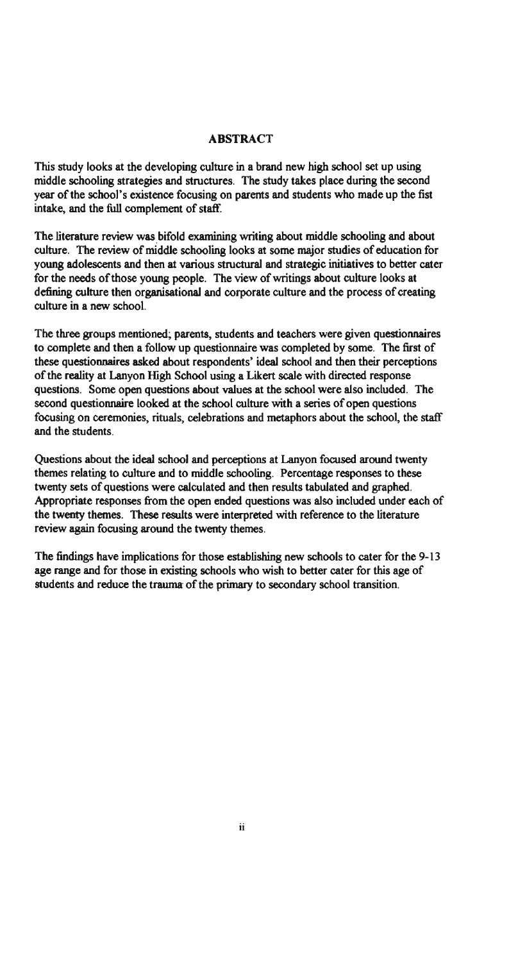#### ABSTRACT

This study looks at the developing culture in a brand new high school set up using middle schooling strategies and structures. The study takes place during the second year of the school's existence focusing on parents and students who made up the fist intake, and the full complement of staff.

The literature review was bifold examining writing about middle schooling and about culture. The review of middle schooling looks at some major studies of education for young adolescents and then at various structural and strategic initiatives to better cater for the needs of those young people. The view of writings about culture looks at defining culture then organisational and corporate culture and the process of creating culture in a new school.

The three groups mentioned; parents, students and teachers were given questionnaires to complete and then a follow up questionnaire was completed by some. The first of these questionnaires asked about respondents' ideal school and then their perceptions of the reality at Lanyon High School using a Likert scale with directed response questions. Some open questions about values at the school were also included. The second questionnaire looked at the school culture with a series of open questions focusing on ceremonies, rituals, celebrations and metaphors about the school, the staff and the students.

Questions about the ideal school and perceptions at Lanyon focused around twenty themes relating to culture and to middle schooling. Percentage responses to these twenty sets of questions were calculated and then results tabulated and graphed. Appropriate responses from the open ended questions was also included under each of the twenty themes. These results were interpreted with reference to the literature review again focusing around the twenty themes.

The findings have implications for those establishing new schools to cater for the 9-13 age range and for those in existing schools who wish to better cater for this age of students and reduce the trauma of the primary to secondary school transition.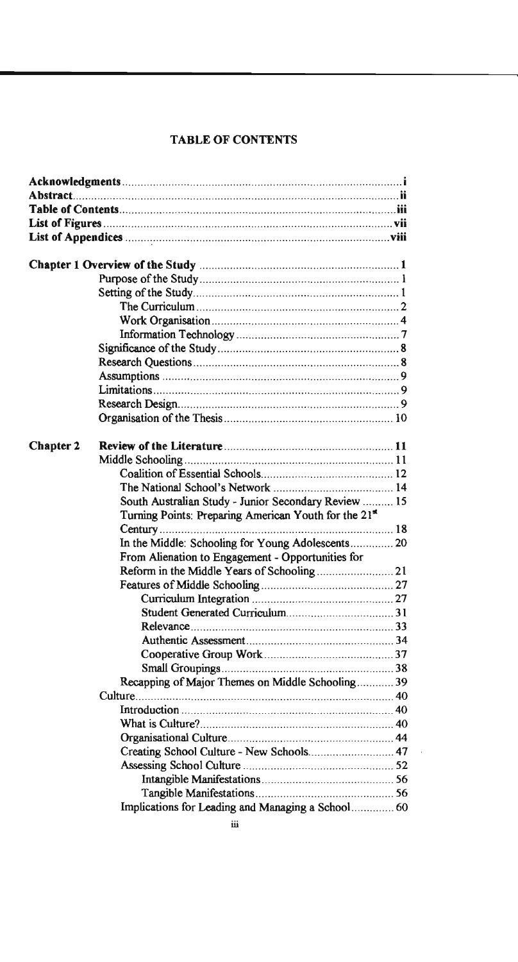# TABLE OF CONTENTS

| <b>Chapter 2</b> |                                                                   |  |
|------------------|-------------------------------------------------------------------|--|
|                  |                                                                   |  |
|                  |                                                                   |  |
|                  |                                                                   |  |
|                  | South Australian Study - Junior Secondary Review  15              |  |
|                  | Turning Points: Preparing American Youth for the 21 <sup>st</sup> |  |
|                  |                                                                   |  |
|                  | In the Middle: Schooling for Young Adolescents 20                 |  |
|                  | From Alienation to Engagement - Opportunities for                 |  |
|                  |                                                                   |  |
|                  |                                                                   |  |
|                  |                                                                   |  |
|                  |                                                                   |  |
|                  |                                                                   |  |
|                  |                                                                   |  |
|                  |                                                                   |  |
|                  |                                                                   |  |
|                  | Recapping of Major Themes on Middle Schooling 39                  |  |
|                  |                                                                   |  |
|                  |                                                                   |  |
|                  |                                                                   |  |
|                  |                                                                   |  |
|                  | Creating School Culture - New Schools 47                          |  |
|                  |                                                                   |  |
|                  |                                                                   |  |
|                  |                                                                   |  |
|                  | Implications for Leading and Managing a School 60                 |  |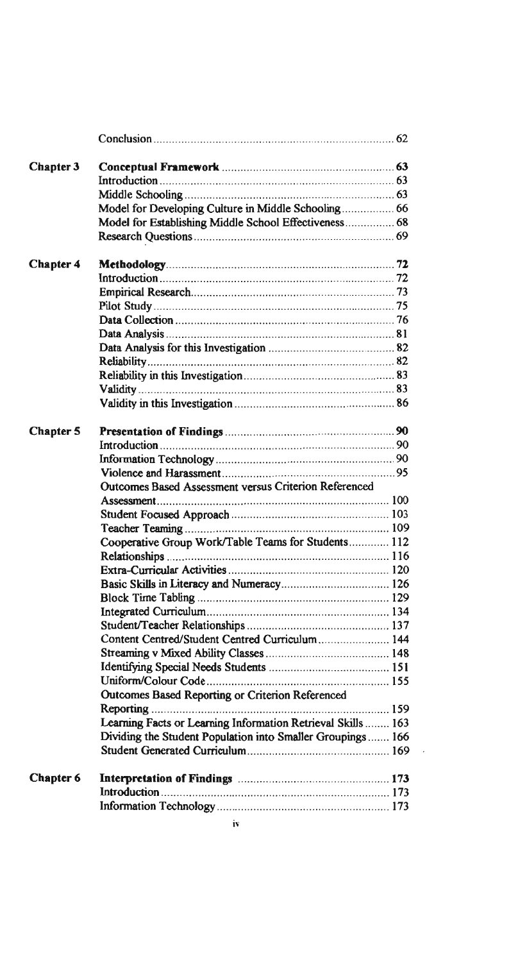| Chapter 3        |                                                              |  |
|------------------|--------------------------------------------------------------|--|
|                  |                                                              |  |
|                  |                                                              |  |
|                  | Model for Developing Culture in Middle Schooling 66          |  |
|                  | Model for Establishing Middle School Effectiveness 68        |  |
|                  |                                                              |  |
| <b>Chapter 4</b> |                                                              |  |
|                  |                                                              |  |
|                  |                                                              |  |
|                  |                                                              |  |
|                  |                                                              |  |
|                  |                                                              |  |
|                  |                                                              |  |
|                  |                                                              |  |
|                  |                                                              |  |
|                  |                                                              |  |
|                  |                                                              |  |
| <b>Chapter 5</b> |                                                              |  |
|                  |                                                              |  |
|                  |                                                              |  |
|                  |                                                              |  |
|                  | Outcomes Based Assessment versus Criterion Referenced        |  |
|                  |                                                              |  |
|                  |                                                              |  |
|                  |                                                              |  |
|                  | Cooperative Group Work/Table Teams for Students 112          |  |
|                  |                                                              |  |
|                  |                                                              |  |
|                  |                                                              |  |
|                  |                                                              |  |
|                  |                                                              |  |
|                  |                                                              |  |
|                  |                                                              |  |
|                  |                                                              |  |
|                  |                                                              |  |
|                  |                                                              |  |
|                  | <b>Outcomes Based Reporting or Criterion Referenced</b>      |  |
|                  |                                                              |  |
|                  | Learning Facts or Learning Information Retrieval Skills  163 |  |
|                  | Dividing the Student Population into Smaller Groupings 166   |  |
|                  |                                                              |  |
| <b>Chapter 6</b> |                                                              |  |
|                  |                                                              |  |
|                  |                                                              |  |
|                  |                                                              |  |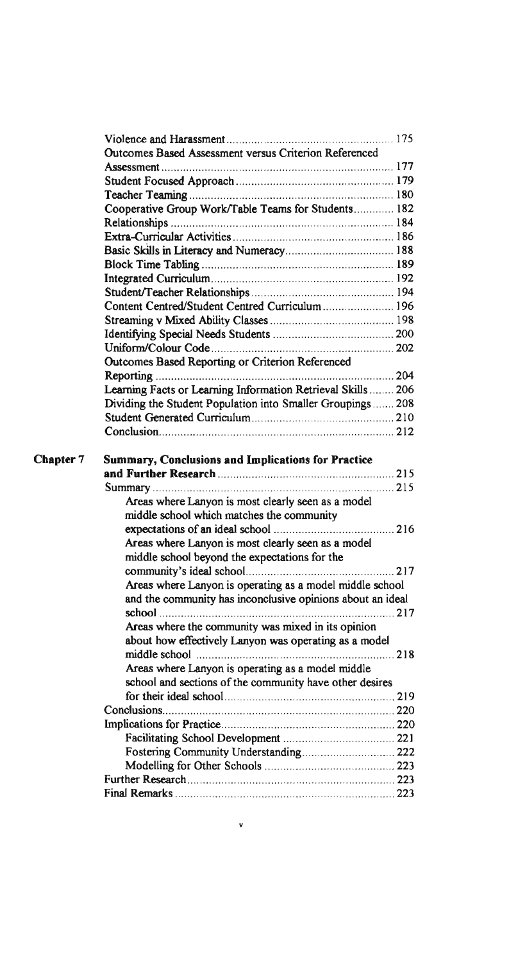|           | Outcomes Based Assessment versus Criterion Referenced                                                                  |     |
|-----------|------------------------------------------------------------------------------------------------------------------------|-----|
|           |                                                                                                                        |     |
|           |                                                                                                                        |     |
|           |                                                                                                                        |     |
|           | Cooperative Group Work/Table Teams for Students 182                                                                    |     |
|           |                                                                                                                        |     |
|           |                                                                                                                        |     |
|           |                                                                                                                        |     |
|           |                                                                                                                        |     |
|           |                                                                                                                        |     |
|           |                                                                                                                        |     |
|           | Content Centred/Student Centred Curriculum 196                                                                         |     |
|           |                                                                                                                        |     |
|           |                                                                                                                        |     |
|           |                                                                                                                        |     |
|           | Outcomes Based Reporting or Criterion Referenced                                                                       |     |
|           |                                                                                                                        |     |
|           | Learning Facts or Learning Information Retrieval Skills  206                                                           |     |
|           | Dividing the Student Population into Smaller Groupings  208                                                            |     |
|           |                                                                                                                        |     |
|           |                                                                                                                        |     |
| Chapter 7 | <b>Summary, Conclusions and Implications for Practice</b>                                                              |     |
|           |                                                                                                                        |     |
|           |                                                                                                                        |     |
|           | Areas where Lanyon is most clearly seen as a model                                                                     |     |
|           | middle school which matches the community                                                                              |     |
|           |                                                                                                                        |     |
|           | Areas where Lanyon is most clearly seen as a model                                                                     |     |
|           | middle school beyond the expectations for the                                                                          |     |
|           |                                                                                                                        | 217 |
|           |                                                                                                                        |     |
|           | Areas where Lanyon is operating as a model middle school<br>and the community has inconclusive opinions about an ideal |     |
|           | $\mathbf{school}$                                                                                                      | 217 |
|           | Areas where the community was mixed in its opinion                                                                     |     |
|           | about how effectively Lanyon was operating as a model                                                                  |     |
|           |                                                                                                                        |     |
|           |                                                                                                                        |     |
|           | Areas where Lanyon is operating as a model middle                                                                      |     |
|           | school and sections of the community have other desires                                                                |     |
|           |                                                                                                                        |     |
|           |                                                                                                                        |     |
|           |                                                                                                                        |     |
|           |                                                                                                                        |     |
|           | Fostering Community Understanding 222                                                                                  |     |
|           |                                                                                                                        |     |
|           |                                                                                                                        |     |
|           |                                                                                                                        |     |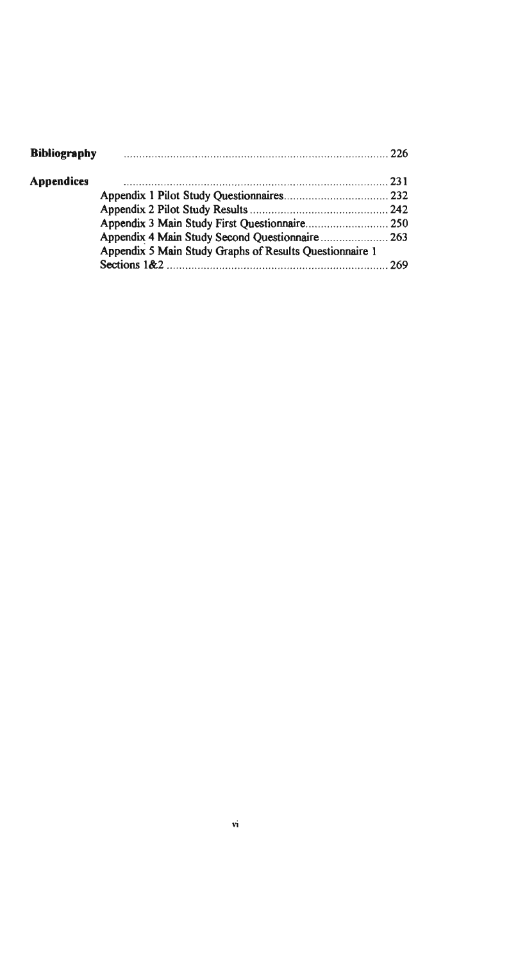| <b>Bibliography</b> |                                                         |  |
|---------------------|---------------------------------------------------------|--|
| <b>Appendices</b>   |                                                         |  |
|                     |                                                         |  |
|                     |                                                         |  |
|                     |                                                         |  |
|                     |                                                         |  |
|                     | Appendix 5 Main Study Graphs of Results Questionnaire 1 |  |
|                     |                                                         |  |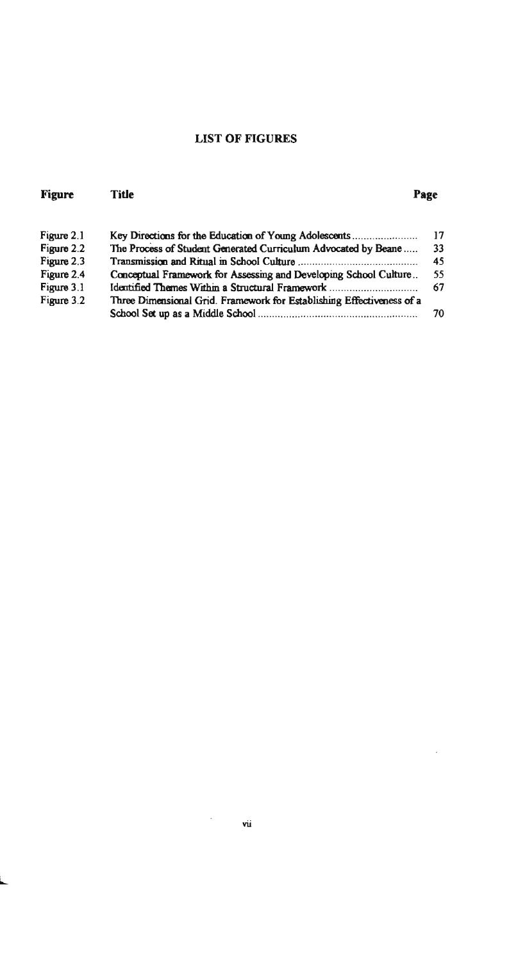# LIST OF FIGURES

| <b>Figure</b> | <b>Title</b>                                                          | Page |
|---------------|-----------------------------------------------------------------------|------|
| Figure 2.1    | Key Directions for the Education of Young Adolescents                 | 17   |
| Figure 2.2    | The Process of Student Generated Curriculum Advocated by Beane        | 33   |
| Figure 2.3    |                                                                       | 45   |
| Figure 2.4    | Conceptual Framework for Assessing and Developing School Culture      | 55   |
| Figure 3.1    | Identified Themes Within a Structural Framework                       | 67   |
| Figure 3.2    | Three Dimensional Grid. Framework for Establishing Effectiveness of a |      |
|               |                                                                       | 70   |

#### vii

ł,